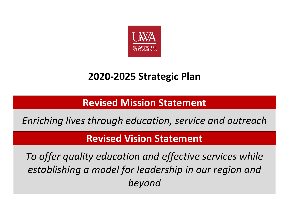

# **2020-2025 Strategic Plan**

**Revised Mission Statement**

*Enriching lives through education, service and outreach*

# **Revised Vision Statement**

*To offer quality education and effective services while establishing a model for leadership in our region and beyond*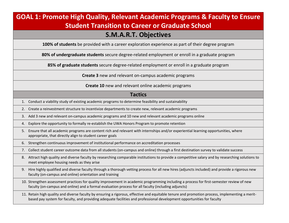## **GOAL 1: Promote High Quality, Relevant Academic Programs & Faculty to Ensure Student Transition to Career or Graduate School**

## **S.M.A.R.T. Objectives**

**100% of students** be provided with a career exploration experience as part of their degree program

**80% of undergraduate students** secure degree-related employment or enroll in a graduate program

**85% of graduate students** secure degree-related employment or enroll in a graduate program

**Create 3** new and relevant on-campus academic programs

#### **Create 10** new and relevant online academic programs

### **Tactics**

1. Conduct a viability study of existing academic programs to determine feasibility and sustainability

2. Create a reinvestment structure to incentivize departments to create new, relevant academic programs

3. Add 3 new and relevant on-campus academic programs and 10 new and relevant academic programs online

4. Explore the opportunity to formally re-establish the UWA Honors Program to promote retention

- 5. Ensure that all academic programs are content rich and relevant with internships and/or experiential learning opportunities, where appropriate, that directly align to student career goals
- 6. Strengthen continuous improvement of institutional performance on accreditation processes

7. Collect student career outcome data from all students (on-campus and online) through a first destination survey to validate success

- 8. Attract high quality and diverse faculty by researching comparable institutions to provide a competitive salary and by researching solutions to meet employee housing needs as they arise
- 9. Hire highly qualified and diverse faculty through a thorough vetting process for all new hires (adjuncts included) and provide a rigorous new faculty (on-campus and online) orientation and training

10. Strengthen assessment practices for quality improvement in academic programming including a process for first-semester review of new faculty (on-campus and online) and a formal evaluation process for all faculty (including adjuncts)

11. Retain high quality and diverse faculty by ensuring a rigorous, effective and equitable tenure and promotion process, implementing a meritbased pay system for faculty, and providing adequate facilities and professional development opportunities for faculty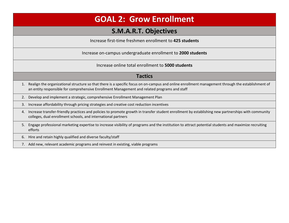# **GOAL 2: Grow Enrollment**

## **S.M.A.R.T. Objectives**

Increase first-time freshmen enrollment to **425 students**

Increase on-campus undergraduate enrollment to **2000 students**

Increase online total enrollment to **5000 students**

### **Tactics**

- 1. Realign the organizational structure so that there is a specific focus on on-campus and online enrollment management through the establishment of an entity responsible for comprehensive Enrollment Management and related programs and staff
- 2. Develop and implement a strategic, comprehensive Enrollment Management Plan
- 3. Increase affordability through pricing strategies and creative cost reduction incentives
- 4. Increase transfer-friendly practices and policies to promote growth in transfer student enrollment by establishing new partnerships with community colleges, dual enrollment schools, and international partners
- 5. Engage professional marketing expertise to increase visibility of programs and the institution to attract potential students and maximize recruiting efforts
- 6. Hire and retain highly qualified and diverse faculty/staff
- 7. Add new, relevant academic programs and reinvest in existing, viable programs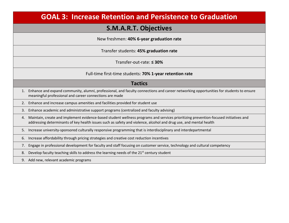## **GOAL 3: Increase Retention and Persistence to Graduation**

## **S.M.A.R.T. Objectives**

New freshmen: **40% 6-year graduation rate**

Transfer students: **45% graduation rate**

Transfer-out-rate: **≤ 30%**

Full-time first-time students: **70% 1-year retention rate**

### **Tactics**

- 1. Enhance and expand community, alumni, professional, and faculty connections and career networking opportunities for students to ensure meaningful professional and career connections are made
- 2. Enhance and increase campus amenities and facilities provided for student use
- 3. Enhance academic and administrative support programs (centralized and faculty advising)
- 4. Maintain, create and implement evidence-based student wellness programs and services prioritizing prevention-focused initiatives and addressing determinants of key health issues such as safety and violence, alcohol and drug use, and mental health
- 5. Increase university-sponsored culturally responsive programming that is interdisciplinary and interdepartmental
- 6. Increase affordability through pricing strategies and creative cost reduction incentives
- 7. Engage in professional development for faculty and staff focusing on customer service, technology and cultural competency
- 8. Develop faculty teaching skills to address the learning needs of the  $21<sup>st</sup>$  century student
- 9. Add new, relevant academic programs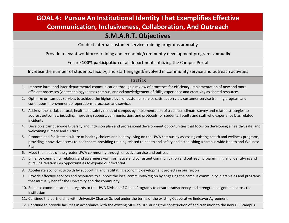# **GOAL 4: Pursue An Institutional Identity That Exemplifies Effective Communication, Inclusiveness, Collaboration, And Outreach**

### **S.M.A.R.T. Objectives**

Conduct internal customer service training programs **annually**

Provide relevant workforce training and economic/community development programs **annually**

Ensure **100% participation** of all departments utilizing the Campus Portal

**Increase** the number of students, faculty, and staff engaged/involved in community service and outreach activities

#### **Tactics**

- 1. Improve intra- and inter-departmental communication through a review of processes for efficiency, implementation of new and more efficient processes (via technology) across campus, and acknowledgement of skills, experience and creativity as shared resources
- 2. Optimize on-campus services to achieve the highest level of customer service satisfaction via a customer service training program and continuous improvement of operations, processes and services
- 3. Address the social, cultural, health and safety needs of campus by implementation of a campus climate survey and related strategies to address outcomes, including improving support, communication, and protocols for students, faculty and staff who experience bias related incidents
- 4. Develop a campus-wide Diversity and Inclusion plan and professional development opportunities that focus on developing a healthy, safe, and welcoming climate and culture
- 5. Promote and facilitate a culture of healthy choices and healthy living on the UWA campus by assessing existing health and wellness programs, providing innovative access to healthcare, providing training related to health and safety and establishing a campus wide Health and Wellness Plan
- 6. Meet the needs of the greater UWA community through effective service and outreach

7. Enhance community relations and awareness via informative and consistent communication and outreach programming and identifying and pursuing relationship opportunities to expand our footprint

- 8. Accelerate economic growth by supporting and facilitating economic development projects in our region
- 9. Provide effective services and resources to support the local community/region by engaging the campus community in activities and programs that mutually benefit the University and the community
- 10. Enhance communication in regards to the UWA Division of Online Programs to ensure transparency and strengthen alignment across the institution
- 11. Continue the partnership with University Charter School under the terms of the existing Cooperative Endeavor Agreement

12. Continue to provide facilities in accordance with the existing MOU to UCS during the construction of and transition to the new UCS campus